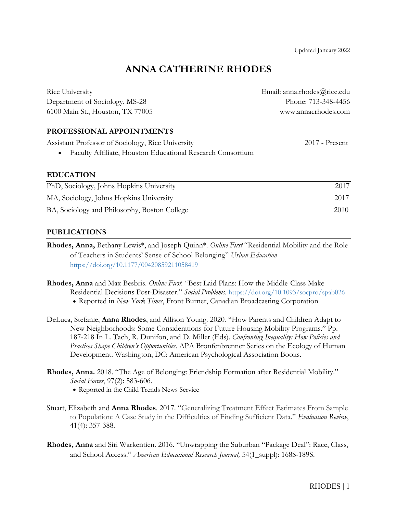# **ANNA CATHERINE RHODES**

Department of Sociology, MS-28 6100 Main St., Houston, TX 77005 Rice University Email: anna.rhodes@rice.edu<br>Department of Sociology, MS-28 Phone: 713-348-4456<br>6100 Main St., Houston, TX 77005 www.annacrhodes.com

Email: anna.rhodes@rice.edu Phone: 713-348-4456 www.annacrhodes.com

#### **PROFESSIONAL APPOINTMENTS**

| Assistant Professor of Sociology, Rice University | $2017$ - Present |
|---------------------------------------------------|------------------|
|                                                   |                  |

• Faculty Affiliate, Houston Educational Research Consortium

#### **EDUCATION**

| PhD, Sociology, Johns Hopkins University     | 2017 |
|----------------------------------------------|------|
| MA, Sociology, Johns Hopkins University      | 2017 |
| BA, Sociology and Philosophy, Boston College | 2010 |

#### **PUBLICATIONS**

**Rhodes, Anna,** Bethany Lewis\*, and Joseph Quinn\*. *Online First* "Residential Mobility and the Role of Teachers in Students' Sense of School Belonging" *Urban Education*  <https://doi.org/10.1177/00420859211058419>

- Residential Decisions Post-Disaster." *Social Problems.* <https://doi.org/10.1093/socpro/spab026> **Rhodes, Anna** and Max Besbris. *Online First.* "Best Laid Plans: How the Middle-Class Make • Reported in *New York Times*, Front Burner, Canadian Broadcasting Corporation
- 187-218 In L. Tach, R. Dunifon, and D. Miller (Eds). *Confronting Inequality: How Policies and*  DeLuca, Stefanie, **Anna Rhodes**, and Allison Young. 2020*.* "How Parents and Children Adapt to New Neighborhoods: Some Considerations for Future Housing Mobility Programs." Pp. *Practices Shape Children's Opportunities.* APA Bronfenbrenner Series on the Ecology of Human Development. Washington, DC: American Psychological Association Books.
- **Rhodes, Anna.** 2018. "The Age of Belonging: Friendship Formation after Residential Mobility." *Social Forces*, 97(2): 583-606*.*

• Reported in the Child Trends News Service

- Stuart, Elizabeth and **Anna Rhodes**. 2017. "Generalizing Treatment Effect Estimates From Sample to Population: A Case Study in the Difficulties of Finding Sufficient Data." *Evaluation Review*, 41(4): 357-388.
- **Rhodes, Anna** and Siri Warkentien. 2016. "Unwrapping the Suburban "Package Deal": Race, Class, and School Access." *American Educational Research Journal,* 54(1\_suppl): 168S-189S.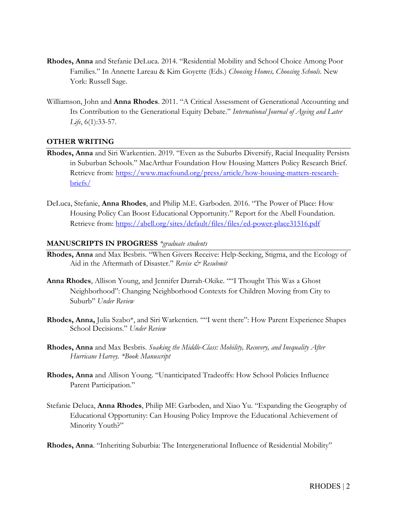- **Rhodes, Anna** and Stefanie DeLuca. 2014. "Residential Mobility and School Choice Among Poor York: Russell Sage. Families." In Annette Lareau & Kim Goyette (Eds.) *Choosing Homes, Choosing Schools*. New
- Williamson, John and **Anna Rhodes**. 2011. "A Critical Assessment of Generational Accounting and Its Contribution to the Generational Equity Debate." *International Journal of Ageing and Later Life*, 6(1):33-57.

#### **OTHER WRITING**

- **Rhodes, Anna** and Siri Warkentien. 2019. "Even as the Suburbs Diversify, Racial Inequality Persists in Suburban Schools." MacArthur Foundation How Housing Matters Policy Research Brief. Retrieve from:<https://www.macfound.org/press/article/how-housing-matters-research>briefs/
- Retrieve from: https://abell.org/sites/default/files/files/ed-power-place31516.pdf DeLuca, Stefanie, **Anna Rhodes**, and Philip M.E. Garboden. 2016. "The Power of Place: How Housing Policy Can Boost Educational Opportunity." Report for the Abell Foundation.

#### **MANUSCRIPTS IN PROGRESS** *\*graduate students*

- Aid in the Aftermath of Disaster." *Revise & Resubmit* **Rhodes, Anna** and Max Besbris. "When Givers Receive: Help-Seeking, Stigma, and the Ecology of
- Suburb" *Under Review* **Anna Rhodes**, Allison Young, and Jennifer Darrah-Okike. ""I Thought This Was a Ghost Neighborhood": Changing Neighborhood Contexts for Children Moving from City to
- **Rhodes, Anna,** Julia Szabo\*, and Siri Warkentien. ""I went there": How Parent Experience Shapes School Decisions." *Under Review*
- **Rhodes, Anna** and Max Besbris. *Soaking the Middle-Class: Mobility, Recovery, and Inequality After Hurricane Harvey. \*Book Manuscript*
- **Rhodes, Anna** and Allison Young. "Unanticipated Tradeoffs: How School Policies Influence Parent Participation."
- Stefanie Deluca, **Anna Rhodes**, Philip ME Garboden, and Xiao Yu. "Expanding the Geography of Educational Opportunity: Can Housing Policy Improve the Educational Achievement of Minority Youth?"
- **Rhodes, Anna**. "Inheriting Suburbia: The Intergenerational Influence of Residential Mobility"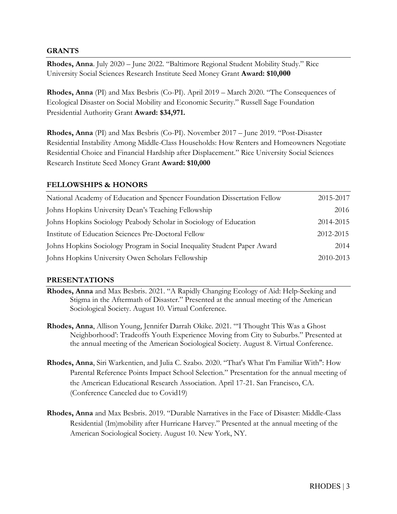#### **GRANTS**

 University Social Sciences Research Institute Seed Money Grant **Award: \$10,000 Rhodes, Anna**. July 2020 – June 2022. "Baltimore Regional Student Mobility Study." Rice

 **Rhodes, Anna** (PI) and Max Besbris (Co-PI). April 2019 – March 2020. "The Consequences of Presidential Authority Grant Award: \$34,971. Ecological Disaster on Social Mobility and Economic Security." Russell Sage Foundation

 Presidential Authority Grant **Award: \$34,971. Rhodes, Anna** (PI) and Max Besbris (Co-PI). November 2017 – June 2019. "Post-Disaster Residential Instability Among Middle-Class Households: How Renters and Homeowners Negotiate Research Institute Seed Money Grant **Award: \$10,000 FELLOWSHIPS & HONORS** Residential Choice and Financial Hardship after Displacement." Rice University Social Sciences

#### **FELLOWSHIPS & HONORS**

| National Academy of Education and Spencer Foundation Dissertation Fellow | 2015-2017 |
|--------------------------------------------------------------------------|-----------|
| Johns Hopkins University Dean's Teaching Fellowship                      | 2016      |
| Johns Hopkins Sociology Peabody Scholar in Sociology of Education        | 2014-2015 |
| Institute of Education Sciences Pre-Doctoral Fellow                      | 2012-2015 |
| Johns Hopkins Sociology Program in Social Inequality Student Paper Award | 2014      |
| Johns Hopkins University Owen Scholars Fellowship                        | 2010-2013 |

#### **PRESENTATIONS**

- **Rhodes, Anna** and Max Besbris. 2021. "A Rapidly Changing Ecology of Aid: Help-Seeking and Stigma in the Aftermath of Disaster." Presented at the annual meeting of the American Sociological Society. August 10. Virtual Conference.
- **Rhodes, Anna**, Allison Young, Jennifer Darrah Okike. 2021. "'I Thought This Was a Ghost Neighborhood': Tradeoffs Youth Experience Moving from City to Suburbs." Presented at the annual meeting of the American Sociological Society. August 8. Virtual Conference.
- **Rhodes, Anna**, Siri Warkentien, and Julia C. Szabo. 2020. "That's What I'm Familiar With": How Parental Reference Points Impact School Selection." Presentation for the annual meeting of the American Educational Research Association. April 17-21. San Francisco, CA. (Conference Canceled due to Covid19)
- American Sociological Society. August 10. New York, NY. **Rhodes, Anna** and Max Besbris. 2019. "Durable Narratives in the Face of Disaster: Middle-Class Residential (Im)mobility after Hurricane Harvey." Presented at the annual meeting of the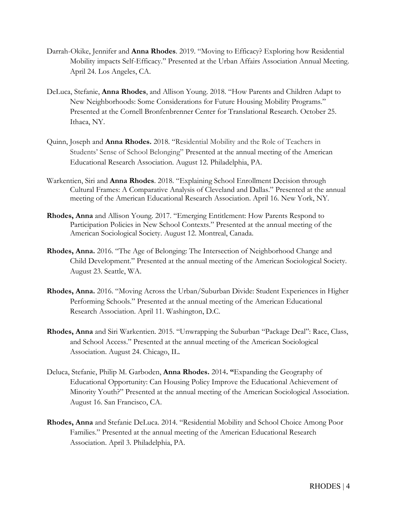- April 24. Los Angeles, CA. Darrah-Okike, Jennifer and **Anna Rhodes**. 2019. "Moving to Efficacy? Exploring how Residential Mobility impacts Self-Efficacy." Presented at the Urban Affairs Association Annual Meeting.
- DeLuca, Stefanie, **Anna Rhodes**, and Allison Young. 2018. "How Parents and Children Adapt to New Neighborhoods: Some Considerations for Future Housing Mobility Programs." Presented at the Cornell Bronfenbrenner Center for Translational Research. October 25. Ithaca, NY.
- Quinn, Joseph and **Anna Rhodes.** 2018. "Residential Mobility and the Role of Teachers in Educational Research Association. August 12. Philadelphia, PA. Students' Sense of School Belonging" Presented at the annual meeting of the American
- meeting of the American Educational Research Association. April 16. New York, NY. Warkentien, Siri and **Anna Rhodes**. 2018. "Explaining School Enrollment Decision through Cultural Frames: A Comparative Analysis of Cleveland and Dallas." Presented at the annual
- American Sociological Society. August 12. Montreal, Canada. **Rhodes, Anna** and Allison Young. 2017. "Emerging Entitlement: How Parents Respond to Participation Policies in New School Contexts." Presented at the annual meeting of the
- August 23. Seattle, WA. **Rhodes, Anna.** 2016. "The Age of Belonging: The Intersection of Neighborhood Change and Child Development." Presented at the annual meeting of the American Sociological Society.
- Research Association. April 11. Washington, D.C. **Rhodes, Anna.** 2016. "Moving Across the Urban/Suburban Divide: Student Experiences in Higher Performing Schools." Presented at the annual meeting of the American Educational
- and School Access." Presented at the annual meeting of the American Sociological **Rhodes, Anna** and Siri Warkentien. 2015. "Unwrapping the Suburban "Package Deal": Race, Class, Association. August 24. Chicago, IL.
- Deluca, Stefanie, Philip M. Garboden, **Anna Rhodes.** 2014**. "**Expanding the Geography of Minority Youth?" Presented at the annual meeting of the American Sociological Association. August 16. San Francisco, CA. Educational Opportunity: Can Housing Policy Improve the Educational Achievement of
- Association. April 3. Philadelphia, PA. **Rhodes, Anna** and Stefanie DeLuca. 2014. "Residential Mobility and School Choice Among Poor Families." Presented at the annual meeting of the American Educational Research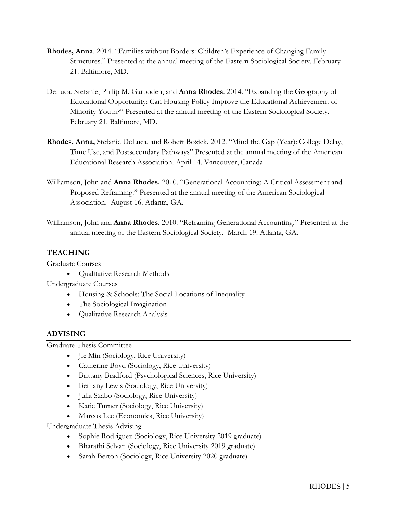- 21. Baltimore, MD. **Rhodes, Anna**. 2014. "Families without Borders: Children's Experience of Changing Family Structures." Presented at the annual meeting of the Eastern Sociological Society. February
- February 21. Baltimore, MD. DeLuca, Stefanie, Philip M. Garboden, and **Anna Rhodes**. 2014. "Expanding the Geography of Educational Opportunity: Can Housing Policy Improve the Educational Achievement of Minority Youth?" Presented at the annual meeting of the Eastern Sociological Society.
- Educational Research Association. April 14. Vancouver, Canada. **Rhodes, Anna,** Stefanie DeLuca, and Robert Bozick. 2012. "Mind the Gap (Year): College Delay, Time Use, and Postsecondary Pathways" Presented at the annual meeting of the American
- Association. August 16. Atlanta, GA. Williamson, John and *Anna Rhodes.* 2010. "Generational Accounting: A Critical Assessment and Proposed Reframing." Presented at the annual meeting of the American Sociological
- annual meeting of the Eastern Sociological Society. March 19. Atlanta, GA. Williamson, John and **Anna Rhodes**. 2010. "Reframing Generational Accounting." Presented at the

## **TEACHING**

Graduate Courses

• Qualitative Research Methods Undergraduate Courses

- Housing & Schools: The Social Locations of Inequality
- The Sociological Imagination
- Qualitative Research Analysis

# **ADVISING**

Graduate Thesis Committee

- Jie Min (Sociology, Rice University)
- Catherine Boyd (Sociology, Rice University)
- Brittany Bradford (Psychological Sciences, Rice University)
- Bethany Lewis (Sociology, Rice University)
- Julia Szabo (Sociology, Rice University)
- Katie Turner (Sociology, Rice University)
- Marcos Lee (Economics, Rice University)

Undergraduate Thesis Advising

- Sophie Rodriguez (Sociology, Rice University 2019 graduate)
- Bharathi Selvan (Sociology, Rice University 2019 graduate)
- Sarah Berton (Sociology, Rice University 2020 graduate)